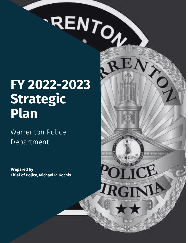# RENTON

 $H$   $H$   $H$ 

GT

# **FY 2022-2023 Strategic Plan**

# Warrenton Police Department

**Prepared by Chief of Police, Michael P. Kochis**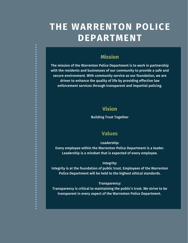# **THE WARRENTON POLICE DEPARTMENT**

# **Mission**

The mission of the Warrenton Police Department is to work in partnership with the residents and businesses of our community to provide a safe and secure environment. With community service as our foundation, we are driven to enhance the quality of life by providing effective law enforcement services through transparent and impartial policing.

# **Vision**

Building Trust Together

# **Values**

Leadership:

Every employee within the Warrenton Police Department is a leader. Leadership is a mindset that is expected of every employee.

### Integrity:

Integrity is at the foundation of public trust. Employees of the Warrenton Police Department will be held to the highest ethical standards.

### Transparency:

Transparency is critical to maintaining the public's trust. We strive to be transparent in every aspect of the Warrenton Police Department.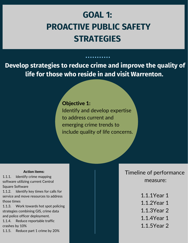# **GOAL 1: PROACTIVE PUBLIC SAFETY STRATEGIES**

**Develop strategies to reduce crime and improve the quality of life for those who reside in and visit Warrenton.**

# Objective 1:

Identify and develop expertise to address current and emerging crime trends to include quality of life concerns.

### Action items:

1.1.1. Identify crime mapping software utilizing current Central Square Software

1.1.2. Identify key times for calls for service and move resources to address those times

1.1.3. Work towards hot spot policing strategies combining GIS, crime data and police officer deployment.

1.1.4. Reduce reportable traffic crashes by 10%

1.1.5. Reduce part 1 crime by 20%

Timeline of performance measure:

- 1.1.1Year 1
- 1.1.2Year 1
- 1.1.3Year 2
- 1.1.4Year 1
- 
- 1.1.5Year 2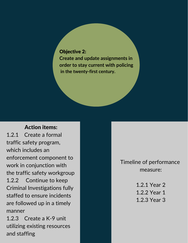## Objective 2:

**Create and update assignments in order to stay current with policing in the twenty-first century.**

# Action items:

1.2.1 Create a formal traffic safety program, which includes an enforcement component to work in conjunction with the traffic safety workgroup 1.2.2 Continue to keep Criminal Investigations fully staffed to ensure incidents are followed up in a timely manner

1.2.3 Create a K-9 unit utilizing existing resources and staffing

Timeline of performance measure:

> 1.2.1 Year 2 1.2.2 Year 1 1.2.3 Year 3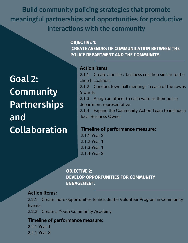**Build community policing strategies that promote meaningful partnerships and opportunities for productive interactions with the community**

> **OBJECTIVE 1: CREATE AVENUES OF COMMUNICATION BETWEEN THE POLICE DEPARTMENT AND THE COMMUNITY.**

Goal 2: **Community Partnerships** and Collaboration

# Action items

2.1.1 Create a police / business coalition similar to the church coalition.

2.1.2 Conduct town hall meetings in each of the towns 5 wards.

2.1.3 Assign an officer to each ward as their police department representative

2.1.4 Expand the Community Action Team to include a local Business Owner

### Timeline of performance measure:

2.1.1 Year 2 2.1.2 Year 1 2.1.3 Year 1 2.1.4 Year 2

**OBJECTIVE 2: DEVELOP OPPORTUNITIES FOR COMMUNITY ENGAGEMENT.**

### Action items:

2.2.1 Create more opportunities to include the Volunteer Program in Community Events

2.2.2 Create a Youth Community Academy

# Timeline of performance measure:

2.2.1 Year 1 2.2.1 Year 3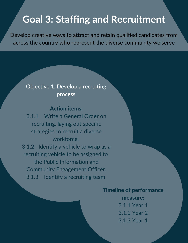# **Goal 3: Staffing and Recruitment**

Develop creative ways to attract and retain qualified candidates from across the country who represent the diverse community we serve

# Objective 1: Develop a recruiting process

# Action items:

3.1.1 Write a General Order on recruiting, laying out specific strategies to recruit a diverse workforce. 3.1.2 Identify a vehicle to wrap as a recruiting vehicle to be assigned to the Public Information and Community Engagement Officer. 3.1.3 Identify a recruiting team

# Timeline of performance

measure: 3.1.1 Year 1 3.1.2 Year 2 3.1.3 Year 1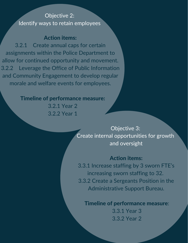# Objective 2: Identify ways to retain employees

# Action items:

3.2.1 Create annual caps for certain assignments within the Police Department to allow for continued opportunity and movement. 3.2.2 Leverage the Office of Public Information and Community Engagement to develop regular morale and welfare events for employees.

# Timeline of performance measure:

3.2.1 Year 2 3.2.2 Year 1

> Objective 3: Create internal opportunities for growth and oversight

# Action items:

3.3.1 Increase staffing by 3 sworn FTE's increasing sworn staffing to 32. 3.3.2 Create a Sergeants Position in the Administrative Support Bureau.

Timeline of performance measure:

3.3.1 Year 3 3.3.2 Year 2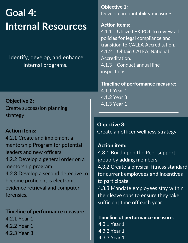# **Goal 4: Internal Resources**

Identify, develop, and enhance internal programs.

Objective 2: Create succession planning strategy

# Action items:

4.2.1 Create and implement a mentorship Program for potential leaders and new officers. 4.2.2 Develop a general order on a mentorship program 4.2.3 Develop a second detective to become proficient is electronic evidence retrieval and computer forensics.

# Timeline of performance measure:

4.2.1 Year 1 4.2.2 Year 1 4.2.3 Year 3

Objective 1: Develop accountability measures

### Action items:

4.1.1 Utilize LEXIPOL to review all policies for legal compliance and transition to CALEA Accreditation. 4.1.2 Obtain CALEA, National Accreditation. 4.1.3 Conduct annual line inspections

Timeline of performance measure:

4.1.1 Year 1 4.1.2 Year 3 4.1.3 Year 1

Objective 3: Create an officer wellness strategy

Action item: 4.3.1 Build upon the Peer support group by adding members. 4.3.2 Create a physical fitness standard for current employees and incentives to participate. 4.3.3 Mandate employees stay within their leave caps to ensure they take sufficient time off each year.

Timeline of performance measure: 4.3.1 Year 1 4.3.2 Year 1 4.3.3 Year 1